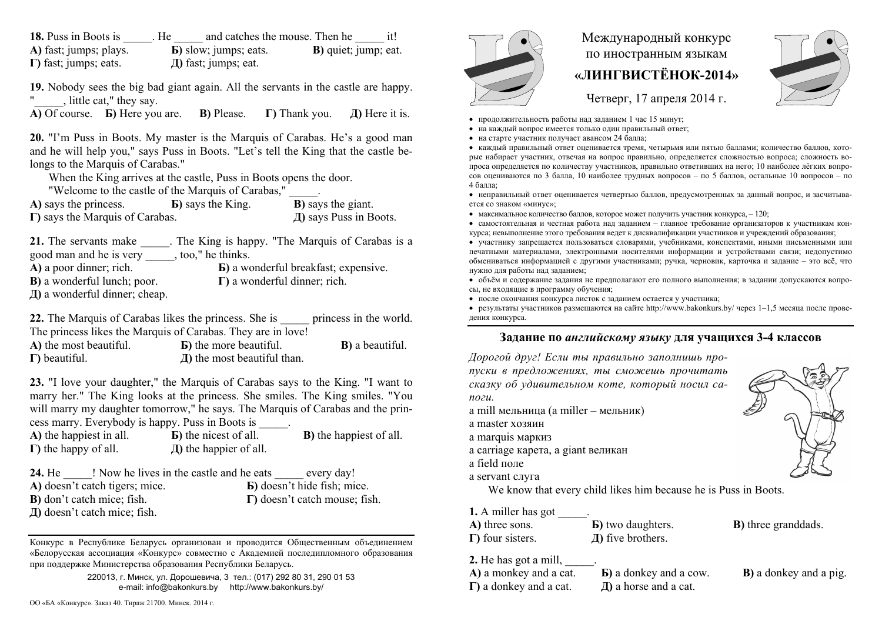**18.** Puss in Boots is The  $\qquad$ . He  $\qquad$  and catches the mouse. Then he  $\qquad$  it! **А)** fast; jumps; plays. **Б)** slow; jumps; eats. **В)** quiet; jump; eat. **Г)** fast; jumps; eats. **Д)** fast; jumps; eat.

**19.** Nobody sees the big bad giant again. All the servants in the castle are happy. , little cat," they say.

**А)** Of course. **Б)** Here you are. **В)** Please. **Г)** Thank you. **Д)** Here it is.

**20.** "I'm Puss in Boots. My master is the Marquis of Carabas. He's a good man and he will help you," says Puss in Boots. "Let's tell the King that the castle belongs to the Marquis of Carabas."

When the King arrives at the castle, Puss in Boots opens the door.

"Welcome to the castle of the Marquis of Carabas," \_\_\_\_\_.

| A) says the princess.                   | <b>B</b> ) says the King. | <b>B</b> ) says the giant. |
|-----------------------------------------|---------------------------|----------------------------|
| $\Gamma$ ) says the Marquis of Carabas. |                           | Д) says Puss in Boots.     |

**21.** The servants make The King is happy. "The Marquis of Carabas is a good man and he is very \_\_\_\_\_, too," he thinks. **А)** a poor dinner; rich. **Б)** a wonderful breakfast; expensive. **В)** a wonderful lunch; poor. **Г)** a wonderful dinner; rich. **Д)** a wonderful dinner; cheap.

**22.** The Marquis of Carabas likes the princess. She is experiences in the world. The princess likes the Marquis of Carabas. They are in love!

| A) the most beautiful. | <b>B</b> ) the more beautiful.            | <b>B</b> ) a beautiful. |
|------------------------|-------------------------------------------|-------------------------|
| $\Gamma$ ) beautiful.  | $\overline{A}$ ) the most beautiful than. |                         |

**23.** "I love your daughter," the Marquis of Carabas says to the King. "I want to marry her." The King looks at the princess. She smiles. The King smiles. "You will marry my daughter tomorrow," he says. The Marquis of Carabas and the princess marry. Everybody is happy. Puss in Boots is \_\_\_\_\_.

| A) the happiest in all.      | <b>b</b> ) the nicest of all. | <b>B</b> ) the happiest of all. |
|------------------------------|-------------------------------|---------------------------------|
| $\Gamma$ ) the happy of all. | $\pi$ ) the happier of all.   |                                 |

| ! Now he lives in the castle and he eats<br><b>24.</b> He | every day!                            |
|-----------------------------------------------------------|---------------------------------------|
| A) doesn't catch tigers; mice.                            | <b>B</b> ) doesn't hide fish; mice.   |
| <b>B</b> ) don't catch mice; fish.                        | $\Gamma$ ) doesn't catch mouse; fish. |
| Д) doesn't catch mice; fish.                              |                                       |

Конкурс <sup>в</sup> Республике Беларусь организован <sup>и</sup> проводится Общественным объединением «Белорусская ассоциация «Конкурс» совместно <sup>с</sup> Академией последипломного образования при поддержке Министерства образования Республики Беларусь.

> 220013, <sup>г</sup>. Минск, ул. Дорошевича, 3 тел.: (017) 292 80 31, 290 01 53 e-mail: info@bakonkurs.by http://www.bakonkurs.by/



## Международный конкурс по иностранным языкам **«ЛИНГВИСТЁНОК-2014»**



Четверг, 17 апреля 2014 г.

- продолжительность работы над заданием 1 час 15 минут;
- на каждый вопрос имеется только один правильный ответ;
- на старте участник получает авансом 24 балла;

 каждый правильный ответ оценивается тремя, четырьмя или пятью баллами; количество баллов, которые набирает участник, отвечая на вопрос правильно, определяется сложностью вопроса; сложность вопроса определяется по количеству участников, правильно ответивших на него; 10 наиболее лёгких вопросов оцениваются по 3 балла, 10 наиболее трудных вопросов – по 5 баллов, остальные 10 вопросов – по 4 балла;

 неправильный ответ оценивается четвертью баллов, предусмотренных за данный вопрос, <sup>и</sup> засчитывается со знаком «минус»;

 $\bullet$  максимальное количество баллов, которое может получить участник конкурса,  $-120$ ;

 самостоятельная и честная работа над заданием – главное требование организаторов <sup>к</sup> участникам конкурса; невыполнение этого требования ведет <sup>к</sup> дисквалификации участников <sup>и</sup> учреждений образования;

 участнику запрещается пользоваться словарями, учебниками, конспектами, иными письменными или печатными материалами, электронными носителями информации <sup>и</sup> устройствами связи; недопустимо обмениваться информацией <sup>с</sup> другими участниками; ручка, черновик, карточка <sup>и</sup> задание – это всё, что нужно для работы над заданием;

 объём <sup>и</sup> содержание задания не предполагают его полного выполнения; <sup>в</sup> задании допускаются вопросы, не входящие <sup>в</sup> программу обучения;

после окончания конкурса листок с заданием остается у участника;

 результаты участников размещаются на сайте http://www.bakonkurs.by/ через 1–1,5 месяца после проведения конкурса.

## **Задание по** *английскому языку* **для учащихся 3-4 классов**

*Дорогой друг! Если ты правильно заполнишь пропуски <sup>в</sup> предложениях, ты сможешь прочитать сказку об удивительном коте, который носил сапоги.* a mill мельница (a miller – мельник) a master хозяинa marquis маркиз a carriage карета, a giant великан a field поле a servant слуга We know that every child likes him because he is Puss in Boots. **1.** A miller has got **А)** three sons. **Б)** two daughters. **В)** three granddads. **Г)** four sisters. **Д)** five brothers.

**2.** He has got a mill, \_\_\_\_\_.

| A) a monkey and a cat.         | <b>b</b> ) a donkey and a cow. | <b>B</b> ) a donkey and a pig. |
|--------------------------------|--------------------------------|--------------------------------|
| $\Gamma$ ) a donkey and a cat. | $\pi$ ) a horse and a cat.     |                                |